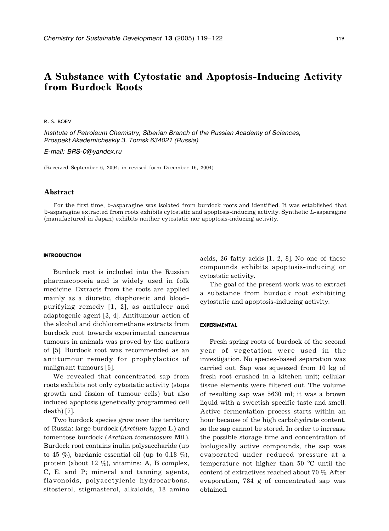# A Substance with Cytostatic and Apoptosis-Inducing Activity from Burdock Roots

R. S. BOEV

Institute of Petroleum Chemistry, Siberian Branch of the Russian Academy of Sciences, Prospekt Akademicheskiy 3, Tomsk 634021 (Russia)

E-mail: BRS-0@yandex.ru

(Received September 6, 2004; in revised form December 16, 2004)

## Abstract

For the first time, b-asparagine was isolated from burdock roots and identified. It was established that b-asparagine extracted from roots exhibits cytostatic and apoptosis-inducing activity. Synthetic L-asparagine (manufactured in Japan) exhibits neither cytostatic nor apoptosis-inducing activity.

#### **INTRODUCTION**

Burdock root is included into the Russian pharmacopoeia and is widely used in folk medicine. Extracts from the roots are applied mainly as a diuretic, diaphoretic and bloodpurifying remedy [1, 2], as antiulcer and adaptogenic agent [3, 4]. Antitumour action of the alcohol and dichloromethane extracts from burdock root towards experimental cancerous tumours in animals was proved by the authors of [5]. Burdock root was recommended as an antitumour remedy for prophylactics of malign ant tumours [6].

We revealed that concentrated sap from roots exhibits not only cytostatic activity (stops growth and fission of tumour cells) but also induced apoptosis (genetically programmed cell death) [7].

Two burdock species grow over the territory of Russia: large burdock (Arctium lappa L.) and tomentose burdock (Arctium tomentosum Mil.). Burdock root contains inulin polysaccharide (up to 45 %), bardanic essential oil (up to 0.18 %), protein (about 12 %), vitamins: A, B complex, C, E, and P; mineral and tanning agents, flavonoids, polyacetylenic hydrocarbons, sitosterol, stigmasterol, alkaloids, 18 amino acids, 26 fatty acids [1, 2, 8]. No one of these compounds exhibits apoptosis-inducing or cytoststic activity.

The goal of the present work was to extract a substance from burdock root exhibiting cytostatic and apoptosis-inducing activity.

#### EXPERIMENTAL

Fresh spring roots of burdock of the second year of vegetation were used in the investigation. No species-based separation was carried out. Sap was squeezed from 10 kg of fresh root crushed in a kitchen unit; cellular tissue elements were filtered out. The volume of resulting sap was 5630 ml; it was a brown liquid with a sweetish specific taste and smell. Active fermentation process starts within an hour because of the high carbohydrate content, so the sap cannot be stored. In order to increase the possible storage time and concentration of biologically active compounds, the sap was evaporated under reduced pressure at a temperature not higher than  $50^{\circ}$ C until the content of extractives reached about 70 %. After evaporation, 784 g of concentrated sap was obtained.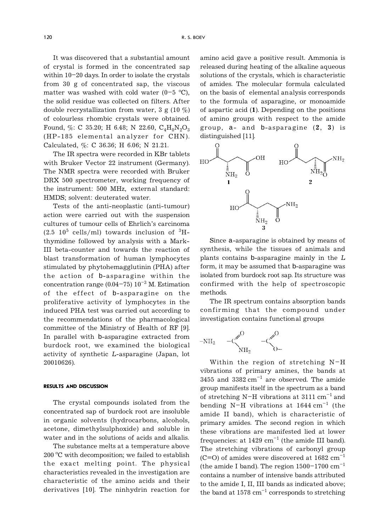It was discovered that a substantial amount of crystal is formed in the concentrated sap within  $10-20$  days. In order to isolate the crystals from 30 g of concentrated sap, the viscous matter was washed with cold water  $(0-5 \text{ °C})$ , the solid residue was collected on filters. After double recrystallization from water, 3 g (10  $\%$ ) of colourless rhombic crystals were obtained. Found, %: C 35.20; H 6.48; N 22.60,  $C_4H_8N_2O_3$ (HP-185 elemental an alyzer for CHN). Calculated,  $\%$ : C 36.36; H 6.06; N 21.21.

The IR spectra were recorded in KBr tablets with Bruker Vector 22 instrument (Germany). The NMR spectra were recorded with Bruker DRX 500 spectrometer, working frequency of the instrument: 500 MHz, external standard: HMDS; solvent: deuterated water.

Tests of the anti-neoplastic (anti-tumour) action were carried out with the suspension cultures of tumour cells of Ehrlich's carcinoma  $(2.5 \t10^5 \text{ cells/ml})$  towards inclusion of  ${}^{3}\text{H}$ thymidine followed by an alysis with a Mark-III beta-counter and towards the reaction of blast transformation of human lymphocytes stimulated by phytohemagglutinin (PHA) after the action of b-asparagine within the concentration range (0.04-75)  $10^{-3}$  M. Estimation of the effect of b-asparagine on the proliferative activity of lymphocytes in the induced PHA test was carried out according to the recommendations of the pharmacological committee of the Ministry of Health of RF [9]. In parallel with b-asparagine extracted from burdock root, we examined the biological activity of synthetic L-asparagine (Japan, lot 20010626).

#### RESULTS AND DISCUSSION

The crystal compounds isolated from the concentrated sap of burdock root are insoluble in organic solvents (hydrocarbons, alcohols, acetone, dimethylsulphoxide) and soluble in water and in the solutions of acids and alkalis.

The substance melts at a temperature above 200 °C with decomposition; we failed to establish the exact melting point. The physical characteristics revealed in the investigation are characteristic of the amino acids and their derivatives [10]. The ninhydrin reaction for amino acid gave a positive result. Ammonia is released during heating of the alkaline aqueous solutions of the crystals, which is characteristic of amides. The molecular formula calculated on the basis of elemental an alysis corresponds to the formula of asparagine, or monoamide of aspartic acid (1). Depending on the positions of amino groups with respect to the amide group, a- and b-asparagine (2, 3) is distinguished [11].



Since a-asparagine is obtained by means of synthesis, while the tissues of animals and plants contains b-asparagine mainly in the L form, it may be assumed that b-asparagine was isolated from burdock root sap. Its structure was confirmed with the help of spectroscopic methods.

The IR spectrum contains absorption bands confirming that the compound under investigation contains function al groups

Within the region of stretching  $N-H$ vibrations of primary amines, the bands at 3455 and  $3382 \text{ cm}^{-1}$  are observed. The amide group manifests itself in the spectrum as a band of stretching N-H vibrations at  $3111 \text{ cm}^{-1}$  and bending N-H vibrations at  $1644 \text{ cm}^{-1}$  (the amide II band), which is characteristic of primary amides. The second region in which these vibrations are manifested lied at lower frequencies: at  $1429 \text{ cm}^{-1}$  (the amide III band). The stretching vibrations of carbonyl group (C=O) of amides were discovered at  $1682 \text{ cm}^{-1}$ (the amide I band). The region  $1500-1700$   $cm^{-1}$ contains a number of intensive bands attributed to the amide I, II, III bands as indicated above; the band at  $1578 \text{ cm}^{-1}$  corresponds to stretching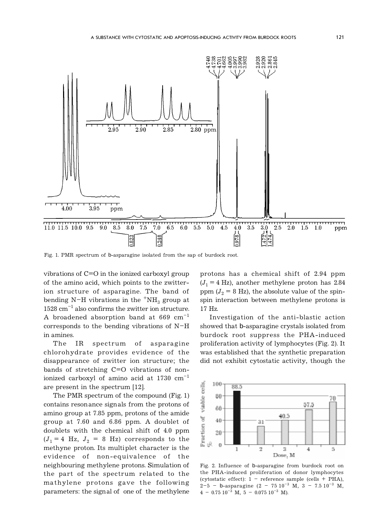

Fig. 1. PMR spectrum of b-asparagine isolated from the sap of burdock root.

vibrations of C=O in the ionized carboxyl group of the amino acid, which points to the zwitterion structure of asparagine. The band of bending N-H vibrations in the  $+NH_3$  group at  $1528$  cm<sup>-1</sup> also confirms the zwitter ion structure. A broadened absorption band at  $669 \text{ cm}^{-1}$ corresponds to the bending vibrations of  $N-H$ in amines.

The IR spectrum of asparagine chlorohydrate provides evidence of the disappearance of zwitter ion structure; the bands of stretching C=O vibrations of nonionized carboxyl of amino acid at  $1730 \text{ cm}^{-1}$ are present in the spectrum [12].

The PMR spectrum of the compound (Fig. 1) contains reson ance sign als from the protons of amino group at 7.85 ppm, protons of the amide group at 7.60 and 6.86 ppm. A doublet of doublets with the chemical shift of 4.0 ppm  $(J_1 = 4$  Hz,  $J_2 = 8$  Hz) corresponds to the methyne proton. Its multiplet character is the evidence of non-equivalence of the neighbouring methylene protons. Simulation of the part of the spectrum related to the mathylene protons gave the following parameters: the signal of one of the methylene

protons has a chemical shift of 2.94 ppm  $(J_1 = 4 \text{ Hz})$ , another methylene proton has 2.84 ppm  $(J_2 = 8 \text{ Hz})$ , the absolute value of the spinspin interaction between methylene protons is 17 Hz.

Investigation of the anti-blastic action showed that b-asparagine crystals isolated from burdock root suppress the PHA-induced proliferation activity of lymphocytes (Fig. 2). It was established that the synthetic preparation did not exhibit cytostatic activity, though the



Fig. 2. Influence of b-asparagine from burdock root on the PHA-induced proliferation of donor lymphocytes (cytostatic effect):  $1 -$  reference sample (cells + PHA),  $2-5$  - b-asparagine  $(2 - 75 10^{-3} \text{ M}, 3 - 7.5 10^{-3} \text{ M},$  $4 - 0.75 \, 10^{-3}$  M,  $5 - 0.075 \, 10^{-3}$  M).